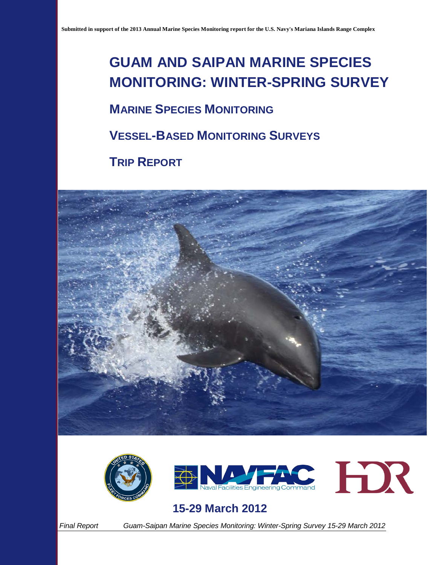# **GUAM AND SAIPAN MARINE SPECIES MONITORING: WINTER-SPRING SURVEY**

### **MARINE SPECIES MONITORING**

**VESSEL-BASED MONITORING SURVEYS**

**TRIP REPORT**







### **15-29 March 2012**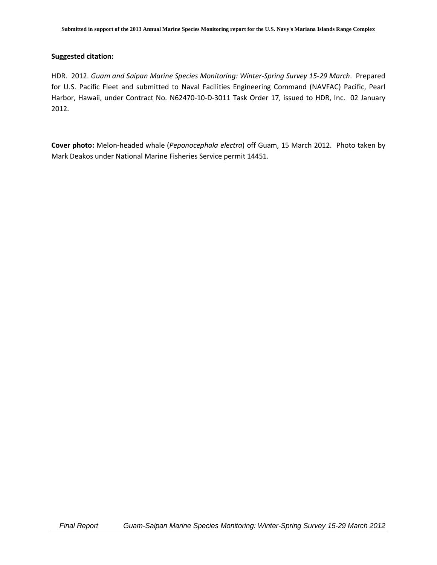#### **Suggested citation:**

HDR. 2012. *Guam and Saipan Marine Species Monitoring: Winter-Spring Survey 15-29 March*. Prepared for U.S. Pacific Fleet and submitted to Naval Facilities Engineering Command (NAVFAC) Pacific, Pearl Harbor, Hawaii, under Contract No. N62470-10-D-3011 Task Order 17, issued to HDR, Inc. 02 January 2012.

**Cover photo:** Melon-headed whale (*Peponocephala electra*) off Guam, 15 March 2012. Photo taken by Mark Deakos under National Marine Fisheries Service permit 14451.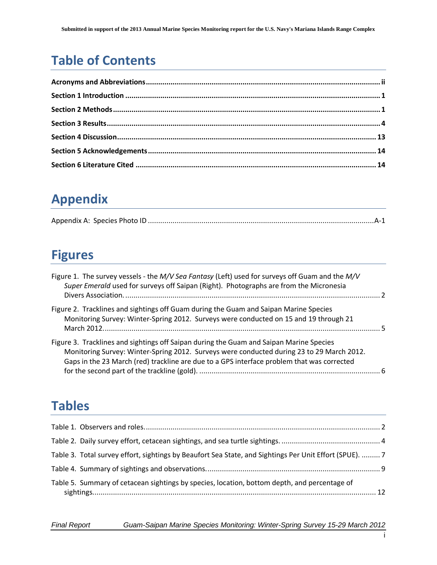# **Table of Contents**

# **Appendix**

# **Figures**

| Figure 1. The survey vessels - the M/V Sea Fantasy (Left) used for surveys off Guam and the M/V<br>Super Emerald used for surveys off Saipan (Right). Photographs are from the Micronesia                                                                                          |  |
|------------------------------------------------------------------------------------------------------------------------------------------------------------------------------------------------------------------------------------------------------------------------------------|--|
| Figure 2. Tracklines and sightings off Guam during the Guam and Saipan Marine Species<br>Monitoring Survey: Winter-Spring 2012. Surveys were conducted on 15 and 19 through 21                                                                                                     |  |
| Figure 3. Tracklines and sightings off Saipan during the Guam and Saipan Marine Species<br>Monitoring Survey: Winter-Spring 2012. Surveys were conducted during 23 to 29 March 2012.<br>Gaps in the 23 March (red) trackline are due to a GPS interface problem that was corrected |  |

## **Tables**

| Table 3. Total survey effort, sightings by Beaufort Sea State, and Sightings Per Unit Effort (SPUE). 7 |  |
|--------------------------------------------------------------------------------------------------------|--|
|                                                                                                        |  |
| Table 5. Summary of cetacean sightings by species, location, bottom depth, and percentage of           |  |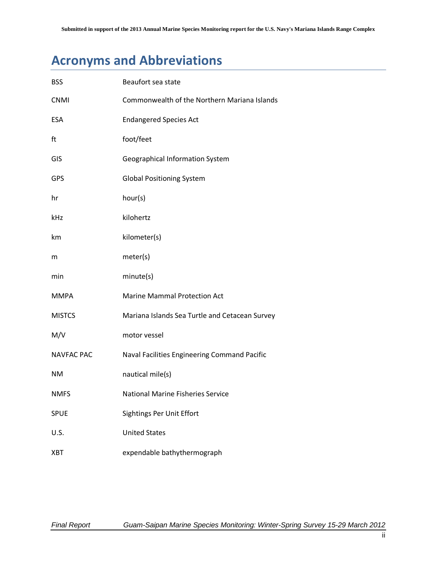## **Acronyms and Abbreviations**

| <b>BSS</b>        | Beaufort sea state                             |
|-------------------|------------------------------------------------|
| <b>CNMI</b>       | Commonwealth of the Northern Mariana Islands   |
| <b>ESA</b>        | <b>Endangered Species Act</b>                  |
| ft                | foot/feet                                      |
| GIS               | Geographical Information System                |
| GPS               | <b>Global Positioning System</b>               |
| hr                | hour(s)                                        |
| kHz               | kilohertz                                      |
| km                | kilometer(s)                                   |
| m                 | meter(s)                                       |
| min               | minute(s)                                      |
| <b>MMPA</b>       | <b>Marine Mammal Protection Act</b>            |
| <b>MISTCS</b>     | Mariana Islands Sea Turtle and Cetacean Survey |
| M/V               | motor vessel                                   |
| <b>NAVFAC PAC</b> | Naval Facilities Engineering Command Pacific   |
| <b>NM</b>         | nautical mile(s)                               |
| <b>NMFS</b>       | <b>National Marine Fisheries Service</b>       |
| <b>SPUE</b>       | <b>Sightings Per Unit Effort</b>               |
| U.S.              | <b>United States</b>                           |
| <b>XBT</b>        | expendable bathythermograph                    |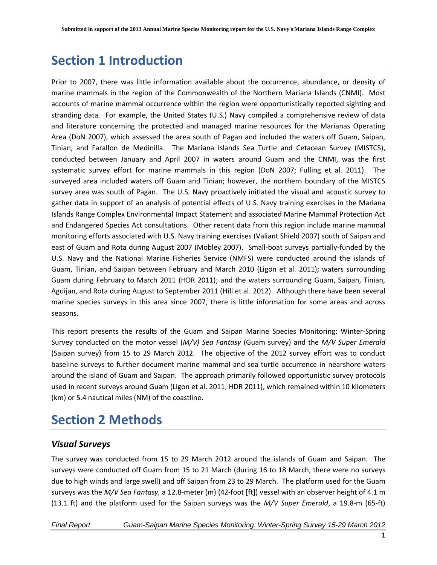## <span id="page-4-0"></span>**Section 1 Introduction**

Prior to 2007, there was little information available about the occurrence, abundance, or density of marine mammals in the region of the Commonwealth of the Northern Mariana Islands (CNMI). Most accounts of marine mammal occurrence within the region were opportunistically reported sighting and stranding data. For example, the United States (U.S.) Navy compiled a comprehensive review of data and literature concerning the protected and managed marine resources for the Marianas Operating Area (DoN 2007), which assessed the area south of Pagan and included the waters off Guam, Saipan, Tinian, and Farallon de Medinilla. The Mariana Islands Sea Turtle and Cetacean Survey (MISTCS), conducted between January and April 2007 in waters around Guam and the CNMI, was the first systematic survey effort for marine mammals in this region (DoN 2007; Fulling et al. 2011). The surveyed area included waters off Guam and Tinian; however, the northern boundary of the MISTCS survey area was south of Pagan. The U.S. Navy proactively initiated the visual and acoustic survey to gather data in support of an analysis of potential effects of U.S. Navy training exercises in the Mariana Islands Range Complex Environmental Impact Statement and associated Marine Mammal Protection Act and Endangered Species Act consultations. Other recent data from this region include marine mammal monitoring efforts associated with U.S. Navy training exercises (Valiant Shield 2007) south of Saipan and east of Guam and Rota during August 2007 (Mobley 2007). Small-boat surveys partially-funded by the U.S. Navy and the National Marine Fisheries Service (NMFS) were conducted around the islands of Guam, Tinian, and Saipan between February and March 2010 (Ligon et al. 2011); waters surrounding Guam during February to March 2011 (HDR 2011); and the waters surrounding Guam, Saipan, Tinian, Aguijan, and Rota during August to September 2011 (Hill et al. 2012). Although there have been several marine species surveys in this area since 2007, there is little information for some areas and across seasons.

This report presents the results of the Guam and Saipan Marine Species Monitoring: Winter-Spring Survey conducted on the motor vessel (*M/V) Sea Fantasy* (Guam survey) and the *M/V Super Emerald* (Saipan survey) from 15 to 29 March 2012. The objective of the 2012 survey effort was to conduct baseline surveys to further document marine mammal and sea turtle occurrence in nearshore waters around the island of Guam and Saipan. The approach primarily followed opportunistic survey protocols used in recent surveys around Guam (Ligon et al. 2011; HDR 2011), which remained within 10 kilometers (km) or 5.4 nautical miles (NM) of the coastline.

## <span id="page-4-1"></span>**Section 2 Methods**

#### *Visual Surveys*

The survey was conducted from 15 to 29 March 2012 around the islands of Guam and Saipan. The surveys were conducted off Guam from 15 to 21 March (during 16 to 18 March, there were no surveys due to high winds and large swell) and off Saipan from 23 to 29 March. The platform used for the Guam surveys was the *M/V Sea Fantasy,* a 12.8-meter (m) (42-foot [ft]) vessel with an observer height of 4.1 m (13.1 ft) and the platform used for the Saipan surveys was the *M/V Super Emerald*, a 19.8-m (65-ft)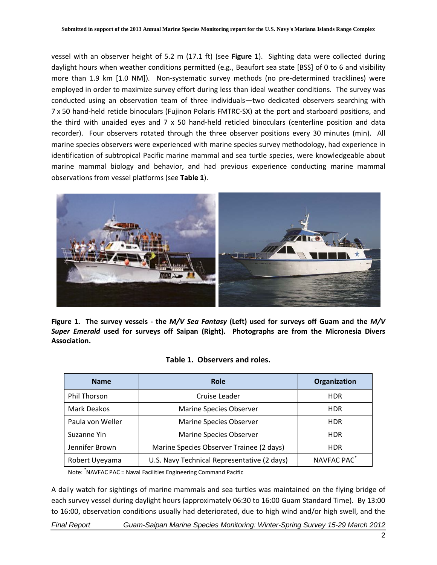vessel with an observer height of 5.2 m (17.1 ft) (see **Figure 1**). Sighting data were collected during daylight hours when weather conditions permitted (e.g., Beaufort sea state [BSS] of 0 to 6 and visibility more than 1.9 km [1.0 NM]). Non-systematic survey methods (no pre-determined tracklines) were employed in order to maximize survey effort during less than ideal weather conditions. The survey was conducted using an observation team of three individuals—two dedicated observers searching with 7 x 50 hand-held reticle binoculars (Fujinon Polaris FMTRC-SX) at the port and starboard positions, and the third with unaided eyes and 7 x 50 hand-held reticled binoculars (centerline position and data recorder). Four observers rotated through the three observer positions every 30 minutes (min). All marine species observers were experienced with marine species survey methodology, had experience in identification of subtropical Pacific marine mammal and sea turtle species, were knowledgeable about marine mammal biology and behavior, and had previous experience conducting marine mammal observations from vessel platforms (see **Table 1**).



<span id="page-5-0"></span>**Figure 1. The survey vessels - the** *M/V Sea Fantasy* **(Left) used for surveys off Guam and the** *M/V Super Emerald* **used for surveys off Saipan (Right). Photographs are from the Micronesia Divers Association.** 

|  | Table 1. Observers and roles. |  |
|--|-------------------------------|--|
|--|-------------------------------|--|

<span id="page-5-1"></span>

| <b>Name</b>         | <b>Role</b>                                 | Organization            |  |  |  |  |
|---------------------|---------------------------------------------|-------------------------|--|--|--|--|
| <b>Phil Thorson</b> | Cruise Leader                               | <b>HDR</b>              |  |  |  |  |
| <b>Mark Deakos</b>  | <b>Marine Species Observer</b>              |                         |  |  |  |  |
| Paula von Weller    | <b>Marine Species Observer</b>              | <b>HDR</b>              |  |  |  |  |
| Suzanne Yin         | <b>Marine Species Observer</b>              | <b>HDR</b>              |  |  |  |  |
| Jennifer Brown      | Marine Species Observer Trainee (2 days)    | <b>HDR</b>              |  |  |  |  |
| Robert Uyeyama      | U.S. Navy Technical Representative (2 days) | NAVFAC PAC <sup>*</sup> |  |  |  |  |

Note: \* NAVFAC PAC = Naval Facilities Engineering Command Pacific

A daily watch for sightings of marine mammals and sea turtles was maintained on the flying bridge of each survey vessel during daylight hours (approximately 06:30 to 16:00 Guam Standard Time). By 13:00 to 16:00, observation conditions usually had deteriorated, due to high wind and/or high swell, and the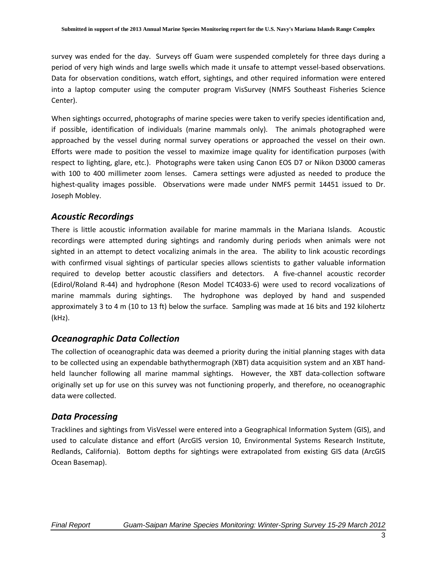survey was ended for the day. Surveys off Guam were suspended completely for three days during a period of very high winds and large swells which made it unsafe to attempt vessel-based observations. Data for observation conditions, watch effort, sightings, and other required information were entered into a laptop computer using the computer program VisSurvey (NMFS Southeast Fisheries Science Center).

When sightings occurred, photographs of marine species were taken to verify species identification and, if possible, identification of individuals (marine mammals only). The animals photographed were approached by the vessel during normal survey operations or approached the vessel on their own. Efforts were made to position the vessel to maximize image quality for identification purposes (with respect to lighting, glare, etc.). Photographs were taken using Canon EOS D7 or Nikon D3000 cameras with 100 to 400 millimeter zoom lenses. Camera settings were adjusted as needed to produce the highest-quality images possible. Observations were made under NMFS permit 14451 issued to Dr. Joseph Mobley.

#### *Acoustic Recordings*

There is little acoustic information available for marine mammals in the Mariana Islands. Acoustic recordings were attempted during sightings and randomly during periods when animals were not sighted in an attempt to detect vocalizing animals in the area. The ability to link acoustic recordings with confirmed visual sightings of particular species allows scientists to gather valuable information required to develop better acoustic classifiers and detectors. A five-channel acoustic recorder (Edirol/Roland R-44) and hydrophone (Reson Model TC4033-6) were used to record vocalizations of marine mammals during sightings. The hydrophone was deployed by hand and suspended approximately 3 to 4 m (10 to 13 ft) below the surface. Sampling was made at 16 bits and 192 kilohertz (kHz).

#### *Oceanographic Data Collection*

The collection of oceanographic data was deemed a priority during the initial planning stages with data to be collected using an expendable bathythermograph (XBT) data acquisition system and an XBT handheld launcher following all marine mammal sightings. However, the XBT data-collection software originally set up for use on this survey was not functioning properly, and therefore, no oceanographic data were collected.

#### *Data Processing*

Tracklines and sightings from VisVessel were entered into a Geographical Information System (GIS), and used to calculate distance and effort (ArcGIS version 10, Environmental Systems Research Institute, Redlands, California). Bottom depths for sightings were extrapolated from existing GIS data (ArcGIS Ocean Basemap).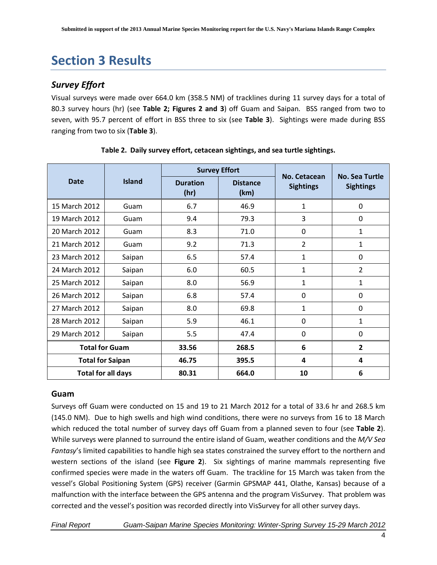## <span id="page-7-0"></span>**Section 3 Results**

#### *Survey Effort*

Visual surveys were made over 664.0 km (358.5 NM) of tracklines during 11 survey days for a total of 80.3 survey hours (hr) (see **Table 2; Figures 2 and 3**) off Guam and Saipan. BSS ranged from two to seven, with 95.7 percent of effort in BSS three to six (see **Table 3**). Sightings were made during BSS ranging from two to six (**Table 3**).

<span id="page-7-1"></span>

|               |                           |                         | <b>Survey Effort</b>    | No. Cetacean     |                                           |  |
|---------------|---------------------------|-------------------------|-------------------------|------------------|-------------------------------------------|--|
| <b>Date</b>   | <b>Island</b>             | <b>Duration</b><br>(hr) | <b>Distance</b><br>(km) | <b>Sightings</b> | <b>No. Sea Turtle</b><br><b>Sightings</b> |  |
| 15 March 2012 | Guam                      | 6.7                     | 46.9                    | 1                | $\Omega$                                  |  |
| 19 March 2012 | Guam                      | 9.4                     | 79.3                    | 3                | 0                                         |  |
| 20 March 2012 | Guam                      | 8.3                     | 71.0                    | 0                | $\mathbf{1}$                              |  |
| 21 March 2012 | Guam                      | 9.2                     | 71.3                    | $\overline{2}$   | $\mathbf{1}$                              |  |
| 23 March 2012 | Saipan                    | 6.5                     | 57.4                    | 1                | 0                                         |  |
| 24 March 2012 | Saipan                    | 6.0                     | 60.5                    | 1                | $\overline{2}$                            |  |
| 25 March 2012 | Saipan                    | 8.0                     | 56.9                    | 1                | 1                                         |  |
| 26 March 2012 | Saipan                    | 6.8                     | 57.4                    | 0                | 0                                         |  |
| 27 March 2012 | Saipan                    | 8.0                     | 69.8                    | 1                | $\Omega$                                  |  |
| 28 March 2012 | Saipan                    | 5.9                     | 46.1                    | 0                | $\mathbf{1}$                              |  |
| 29 March 2012 | Saipan                    | 5.5                     | 47.4                    | 0                | 0                                         |  |
|               | <b>Total for Guam</b>     | 33.56                   | 268.5                   | 6                | $\overline{2}$                            |  |
|               | <b>Total for Saipan</b>   | 46.75                   | 395.5                   | 4                | 4                                         |  |
|               | <b>Total for all days</b> | 80.31                   | 664.0                   | 10               | 6                                         |  |

|  | Table 2. Daily survey effort, cetacean sightings, and sea turtle sightings. |  |
|--|-----------------------------------------------------------------------------|--|
|  |                                                                             |  |

#### **Guam**

Surveys off Guam were conducted on 15 and 19 to 21 March 2012 for a total of 33.6 hr and 268.5 km (145.0 NM). Due to high swells and high wind conditions, there were no surveys from 16 to 18 March which reduced the total number of survey days off Guam from a planned seven to four (see **Table 2**). While surveys were planned to surround the entire island of Guam, weather conditions and the *M/V Sea Fantasy*'s limited capabilities to handle high sea states constrained the survey effort to the northern and western sections of the island (see **Figure 2**). Six sightings of marine mammals representing five confirmed species were made in the waters off Guam. The trackline for 15 March was taken from the vessel's Global Positioning System (GPS) receiver (Garmin GPSMAP 441, Olathe, Kansas) because of a malfunction with the interface between the GPS antenna and the program VisSurvey. That problem was corrected and the vessel's position was recorded directly into VisSurvey for all other survey days.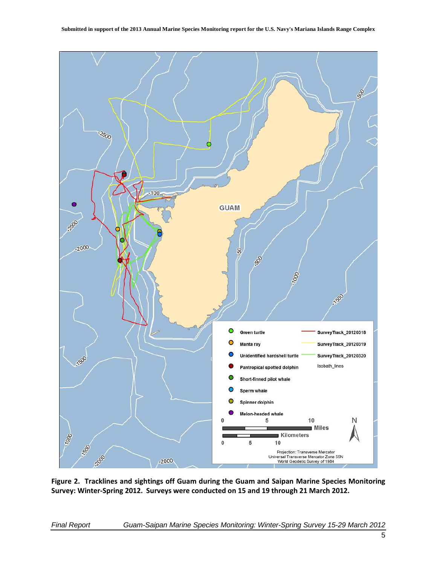

<span id="page-8-0"></span>**Figure 2. Tracklines and sightings off Guam during the Guam and Saipan Marine Species Monitoring Survey: Winter-Spring 2012. Surveys were conducted on 15 and 19 through 21 March 2012.**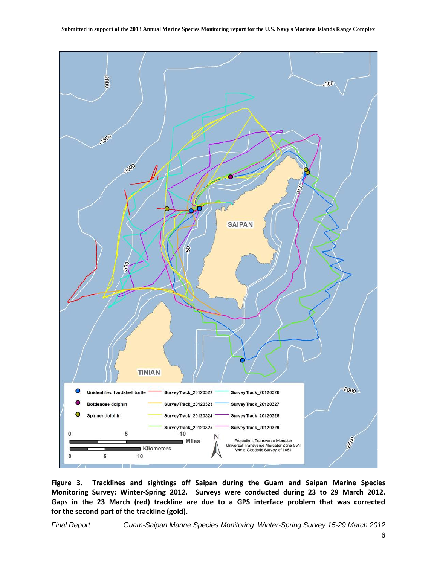

<span id="page-9-0"></span>**Figure 3. Tracklines and sightings off Saipan during the Guam and Saipan Marine Species Monitoring Survey: Winter-Spring 2012. Surveys were conducted during 23 to 29 March 2012. Gaps in the 23 March (red) trackline are due to a GPS interface problem that was corrected for the second part of the trackline (gold).**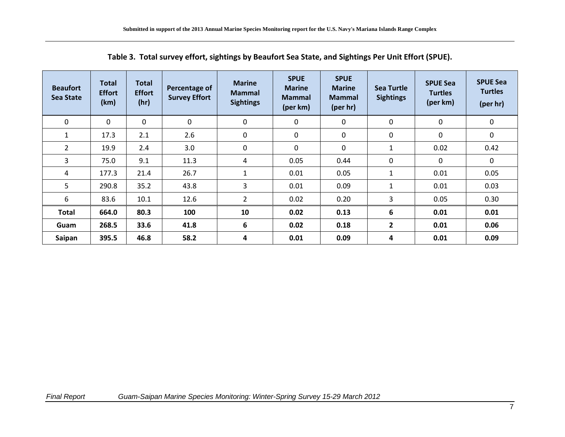<span id="page-10-0"></span>

| <b>Beaufort</b><br><b>Sea State</b> | <b>Total</b><br><b>Effort</b><br>(km) | <b>Total</b><br><b>Effort</b><br>(hr) | Percentage of<br><b>Survey Effort</b> | <b>Marine</b><br><b>Mammal</b><br><b>Sightings</b> | <b>SPUE</b><br><b>Marine</b><br><b>Mammal</b><br>(per km) | <b>SPUE</b><br><b>Marine</b><br><b>Mammal</b><br>(per hr) | Sea Turtle<br><b>Sightings</b> | <b>SPUE Sea</b><br><b>Turtles</b><br>(per km) | <b>SPUE Sea</b><br><b>Turtles</b><br>(per hr) |
|-------------------------------------|---------------------------------------|---------------------------------------|---------------------------------------|----------------------------------------------------|-----------------------------------------------------------|-----------------------------------------------------------|--------------------------------|-----------------------------------------------|-----------------------------------------------|
| 0                                   | $\Omega$                              | 0                                     | 0                                     | 0                                                  | 0                                                         | 0                                                         | 0                              | 0                                             | 0                                             |
| 1                                   | 17.3                                  | 2.1                                   | 2.6                                   | 0                                                  | 0                                                         | 0                                                         | 0                              | $\mathbf{0}$                                  | $\Omega$                                      |
| $\overline{2}$                      | 19.9                                  | 2.4                                   | 3.0                                   | 0                                                  | $\mathbf 0$                                               | 0                                                         | 1                              | 0.02                                          | 0.42                                          |
| 3                                   | 75.0                                  | 9.1                                   | 11.3                                  | 4                                                  | 0.05                                                      | 0.44                                                      | 0                              | 0                                             | 0                                             |
| 4                                   | 177.3<br>290.8                        | 21.4                                  | 26.7                                  | $\mathbf{1}$                                       | 0.01                                                      | 0.05                                                      | 1                              | 0.01                                          | 0.05                                          |
| 5                                   |                                       | 35.2                                  | 43.8                                  |                                                    | 3                                                         | 0.01                                                      | 0.09                           | 1                                             | 0.01                                          |
| 6                                   | 83.6                                  | 10.1                                  | 12.6                                  | $\overline{2}$                                     | 0.02                                                      | 0.20                                                      | 3                              | 0.05                                          | 0.30                                          |
| Total                               | 664.0                                 | 80.3                                  | 100                                   | 10                                                 | 0.02                                                      | 0.13                                                      | 6                              | 0.01                                          | 0.01                                          |
| Guam                                | 268.5                                 | 33.6                                  | 41.8                                  | 6                                                  | 0.02                                                      | 0.18                                                      | $\overline{2}$                 | 0.01                                          | 0.06                                          |
| Saipan                              | 395.5                                 | 46.8                                  | 58.2                                  | 4                                                  | 0.01                                                      | 0.09                                                      | 4                              | 0.01                                          | 0.09                                          |

**Table 3. Total survey effort, sightings by Beaufort Sea State, and Sightings Per Unit Effort (SPUE).**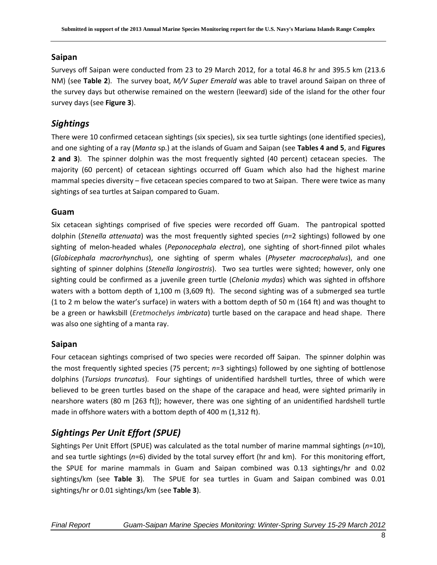#### **Saipan**

Surveys off Saipan were conducted from 23 to 29 March 2012, for a total 46.8 hr and 395.5 km (213.6 NM) (see **Table 2**). The survey boat, *M/V Super Emerald* was able to travel around Saipan on three of the survey days but otherwise remained on the western (leeward) side of the island for the other four survey days (see **Figure 3**).

### *Sightings*

There were 10 confirmed cetacean sightings (six species), six sea turtle sightings (one identified species), and one sighting of a ray (*Manta* sp.) at the islands of Guam and Saipan (see **Tables 4 and 5**, and **Figures 2 and 3**). The spinner dolphin was the most frequently sighted (40 percent) cetacean species. The majority (60 percent) of cetacean sightings occurred off Guam which also had the highest marine mammal species diversity – five cetacean species compared to two at Saipan. There were twice as many sightings of sea turtles at Saipan compared to Guam.

#### **Guam**

Six cetacean sightings comprised of five species were recorded off Guam. The pantropical spotted dolphin (*Stenella attenuata*) was the most frequently sighted species (*n*=2 sightings) followed by one sighting of melon-headed whales (*Peponocephala electra*), one sighting of short-finned pilot whales (*Globicephala macrorhynchus*), one sighting of sperm whales (*Physeter macrocephalus*), and one sighting of spinner dolphins (*Stenella longirostris*). Two sea turtles were sighted; however, only one sighting could be confirmed as a juvenile green turtle (*Chelonia mydas*) which was sighted in offshore waters with a bottom depth of 1,100 m (3,609 ft). The second sighting was of a submerged sea turtle (1 to 2 m below the water's surface) in waters with a bottom depth of 50 m (164 ft) and was thought to be a green or hawksbill (*Eretmochelys imbricata*) turtle based on the carapace and head shape. There was also one sighting of a manta ray.

#### **Saipan**

Four cetacean sightings comprised of two species were recorded off Saipan. The spinner dolphin was the most frequently sighted species (75 percent; *n*=3 sightings) followed by one sighting of bottlenose dolphins (*Tursiops truncatus*). Four sightings of unidentified hardshell turtles, three of which were believed to be green turtles based on the shape of the carapace and head, were sighted primarily in nearshore waters (80 m [263 ft]); however, there was one sighting of an unidentified hardshell turtle made in offshore waters with a bottom depth of 400 m (1,312 ft).

### *Sightings Per Unit Effort (SPUE)*

Sightings Per Unit Effort (SPUE) was calculated as the total number of marine mammal sightings (*n*=10), and sea turtle sightings (*n*=6) divided by the total survey effort (hr and km). For this monitoring effort, the SPUE for marine mammals in Guam and Saipan combined was 0.13 sightings/hr and 0.02 sightings/km (see **Table 3**). The SPUE for sea turtles in Guam and Saipan combined was 0.01 sightings/hr or 0.01 sightings/km (see **Table 3**).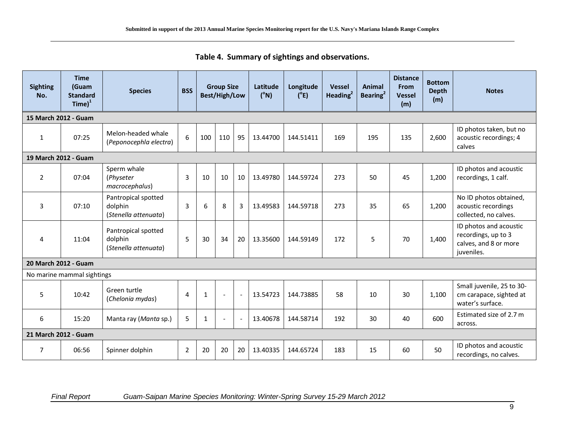<span id="page-12-0"></span>

| <b>Sighting</b><br>No. | <b>Time</b><br>(Guam<br><b>Standard</b><br>$Time)^1$ | <b>Species</b>                                         | <b>BSS</b>     | <b>Group Size</b><br>Best/High/Low |                |    |          | Longitude<br>$(^{\circ}E)$ | <b>Vessel</b><br>Heading $2$ | Animal<br>Bearing <sup>2</sup> | <b>Distance</b><br><b>From</b><br><b>Vessel</b><br>(m) | <b>Bottom</b><br><b>Depth</b><br>(m) | <b>Notes</b>                                                                         |
|------------------------|------------------------------------------------------|--------------------------------------------------------|----------------|------------------------------------|----------------|----|----------|----------------------------|------------------------------|--------------------------------|--------------------------------------------------------|--------------------------------------|--------------------------------------------------------------------------------------|
| 15 March 2012 - Guam   |                                                      |                                                        |                |                                    |                |    |          |                            |                              |                                |                                                        |                                      |                                                                                      |
| $\mathbf{1}$           | 07:25                                                | Melon-headed whale<br>(Peponocephla electra)           | 6              | 100                                | 110            | 95 | 13.44700 | 144.51411                  | 169                          | 195                            | 135                                                    | 2,600                                | ID photos taken, but no<br>acoustic recordings; 4<br>calves                          |
| 19 March 2012 - Guam   |                                                      |                                                        |                |                                    |                |    |          |                            |                              |                                |                                                        |                                      |                                                                                      |
| $\overline{2}$         | 07:04                                                | Sperm whale<br>(Physeter<br>macrocephalus)             | 3              | 10                                 | 10             | 10 | 13.49780 | 144.59724                  | 273                          | 50                             | 45                                                     | 1,200                                | ID photos and acoustic<br>recordings, 1 calf.                                        |
| $\overline{3}$         | 07:10                                                | Pantropical spotted<br>dolphin<br>(Stenella attenuata) | 3              | 6                                  | 8              | 3  | 13.49583 | 144.59718                  | 273                          | 35                             | 65                                                     | 1,200                                | No ID photos obtained,<br>acoustic recordings<br>collected, no calves.               |
| 4                      | 11:04                                                | Pantropical spotted<br>dolphin<br>(Stenella attenuata) | 5              | 30                                 | 34             | 20 | 13.35600 | 144.59149                  | 172                          | 5                              | 70                                                     | 1,400                                | ID photos and acoustic<br>recordings, up to 3<br>calves, and 8 or more<br>juveniles. |
| 20 March 2012 - Guam   |                                                      |                                                        |                |                                    |                |    |          |                            |                              |                                |                                                        |                                      |                                                                                      |
|                        | No marine mammal sightings                           |                                                        |                |                                    |                |    |          |                            |                              |                                |                                                        |                                      |                                                                                      |
| 5                      | 10:42                                                | Green turtle<br>(Chelonia mydas)                       | 4              | $\mathbf{1}$                       | $\overline{a}$ |    | 13.54723 | 144.73885                  | 58                           | 10                             | 30                                                     | 1,100                                | Small juvenile, 25 to 30-<br>cm carapace, sighted at<br>water's surface.             |
| 6                      | 15:20                                                | Manta ray (Manta sp.)                                  | 5              | $\mathbf{1}$                       |                |    | 13.40678 | 144.58714                  | 192                          | 30                             | 40                                                     | 600                                  | Estimated size of 2.7 m<br>across.                                                   |
| 21 March 2012 - Guam   |                                                      |                                                        |                |                                    |                |    |          |                            |                              |                                |                                                        |                                      |                                                                                      |
| 7                      | 06:56                                                | Spinner dolphin                                        | $\overline{2}$ | 20                                 | 20             | 20 | 13.40335 | 144.65724                  | 183                          | 15                             | 60                                                     | 50                                   | ID photos and acoustic<br>recordings, no calves.                                     |

**Table 4. Summary of sightings and observations.**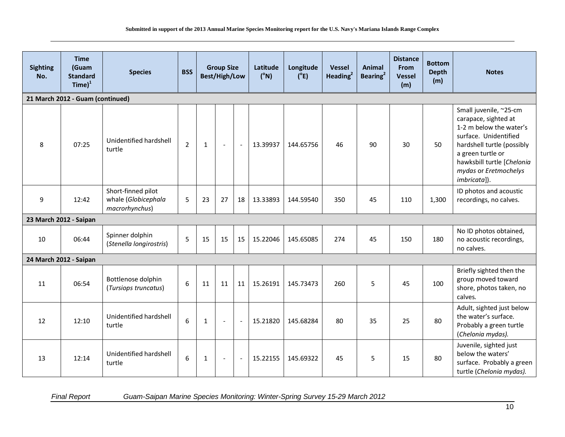| <b>Sighting</b><br>No.           | <b>Time</b><br>(Guam<br><b>Standard</b><br>$Time)^1$ | <b>Species</b>                                              | <b>BSS</b>     |              | <b>Group Size</b><br>Best/High/Low |                          |          |           |     |    | Latitude<br>$(^{\circ}N)$ | Longitude<br>$(^{\circ}E)$ | <b>Vessel</b><br>Heading $2$                                                                                                                                                                                                 | Animal<br>Bearing <sup>2</sup> | <b>Distance</b><br><b>From</b><br><b>Vessel</b><br>(m) | <b>Bottom</b><br><b>Depth</b><br>(m) | <b>Notes</b> |
|----------------------------------|------------------------------------------------------|-------------------------------------------------------------|----------------|--------------|------------------------------------|--------------------------|----------|-----------|-----|----|---------------------------|----------------------------|------------------------------------------------------------------------------------------------------------------------------------------------------------------------------------------------------------------------------|--------------------------------|--------------------------------------------------------|--------------------------------------|--------------|
| 21 March 2012 - Guam (continued) |                                                      |                                                             |                |              |                                    |                          |          |           |     |    |                           |                            |                                                                                                                                                                                                                              |                                |                                                        |                                      |              |
| 8                                | 07:25                                                | Unidentified hardshell<br>turtle                            | $\overline{2}$ | $\mathbf{1}$ | $\blacksquare$                     | $\sim$                   | 13.39937 | 144.65756 | 46  | 90 | 30                        | 50                         | Small juvenile, ~25-cm<br>carapace, sighted at<br>1-2 m below the water's<br>surface. Unidentified<br>hardshell turtle (possibly<br>a green turtle or<br>hawksbill turtle [Chelonia<br>mydas or Eretmochelys<br>imbricata]). |                                |                                                        |                                      |              |
| 9                                | 12:42                                                | Short-finned pilot<br>whale (Globicephala<br>macrorhynchus) | 5              | 23           | 27                                 | 18                       | 13.33893 | 144.59540 | 350 | 45 | 110                       | 1,300                      | ID photos and acoustic<br>recordings, no calves.                                                                                                                                                                             |                                |                                                        |                                      |              |
|                                  | 23 March 2012 - Saipan                               |                                                             |                |              |                                    |                          |          |           |     |    |                           |                            |                                                                                                                                                                                                                              |                                |                                                        |                                      |              |
| 10                               | 06:44                                                | Spinner dolphin<br>(Stenella longirostris)                  | 5              | 15           | 15                                 | 15                       | 15.22046 | 145.65085 | 274 | 45 | 150                       | 180                        | No ID photos obtained,<br>no acoustic recordings,<br>no calves.                                                                                                                                                              |                                |                                                        |                                      |              |
|                                  | 24 March 2012 - Saipan                               |                                                             |                |              |                                    |                          |          |           |     |    |                           |                            |                                                                                                                                                                                                                              |                                |                                                        |                                      |              |
| 11                               | 06:54                                                | Bottlenose dolphin<br>(Tursiops truncatus)                  | 6              | 11           | 11                                 | 11                       | 15.26191 | 145.73473 | 260 | 5  | 45                        | 100                        | Briefly sighted then the<br>group moved toward<br>shore, photos taken, no<br>calves.                                                                                                                                         |                                |                                                        |                                      |              |
| 12                               | 12:10                                                | Unidentified hardshell<br>turtle                            | 6              | $\mathbf{1}$ | $\overline{a}$                     |                          | 15.21820 | 145.68284 | 80  | 35 | 25                        | 80                         | Adult, sighted just below<br>the water's surface.<br>Probably a green turtle<br>(Chelonia mydas).                                                                                                                            |                                |                                                        |                                      |              |
| 13                               | 12:14                                                | Unidentified hardshell<br>turtle                            | 6              | $\mathbf{1}$ | $\sim$                             | $\overline{\phantom{a}}$ | 15.22155 | 145.69322 | 45  | 5  | 15                        | 80                         | Juvenile, sighted just<br>below the waters'<br>surface. Probably a green<br>turtle (Chelonia mydas).                                                                                                                         |                                |                                                        |                                      |              |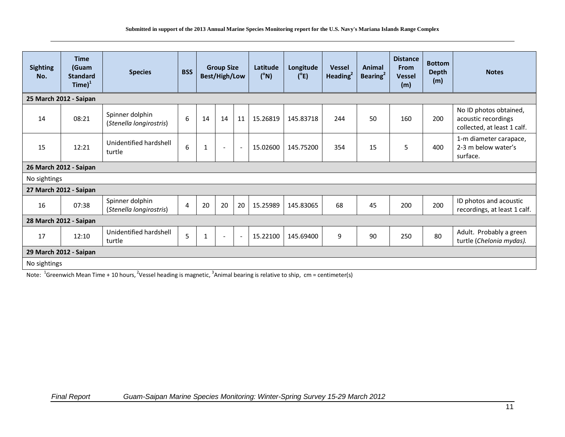| <b>Sighting</b><br>No. | <b>Time</b><br>(Guam<br><b>Standard</b><br>$Time)^1$ | <b>Species</b>                             | <b>BSS</b>     | <b>Group Size</b><br>Best/High/Low |                          | Latitude<br>$(^{\circ}N)$ | Longitude<br>(°E) | <b>Vessel</b><br>Heading $2$ | Animal<br>Bearing <sup>2</sup> | <b>Distance</b><br><b>From</b><br><b>Vessel</b><br>(m) | <b>Bottom</b><br><b>Depth</b><br>(m) | <b>Notes</b> |                                                                              |
|------------------------|------------------------------------------------------|--------------------------------------------|----------------|------------------------------------|--------------------------|---------------------------|-------------------|------------------------------|--------------------------------|--------------------------------------------------------|--------------------------------------|--------------|------------------------------------------------------------------------------|
|                        | 25 March 2012 - Saipan                               |                                            |                |                                    |                          |                           |                   |                              |                                |                                                        |                                      |              |                                                                              |
| 14                     | 08:21                                                | Spinner dolphin<br>(Stenella longirostris) | 6              | 14                                 | 14                       | 11                        | 15.26819          | 145.83718                    | 244                            | 50                                                     | 160                                  | 200          | No ID photos obtained,<br>acoustic recordings<br>collected, at least 1 calf. |
| 15                     | 12:21                                                | Unidentified hardshell<br>turtle           | 6              | 1                                  | $\blacksquare$           | $\overline{\phantom{a}}$  | 15.02600          | 145.75200                    | 354                            | 15                                                     | 5                                    | 400          | 1-m diameter carapace,<br>2-3 m below water's<br>surface.                    |
| 26 March 2012 - Saipan |                                                      |                                            |                |                                    |                          |                           |                   |                              |                                |                                                        |                                      |              |                                                                              |
| No sightings           |                                                      |                                            |                |                                    |                          |                           |                   |                              |                                |                                                        |                                      |              |                                                                              |
| 27 March 2012 - Saipan |                                                      |                                            |                |                                    |                          |                           |                   |                              |                                |                                                        |                                      |              |                                                                              |
| 16                     | 07:38                                                | Spinner dolphin<br>(Stenella longirostris) | $\overline{4}$ | 20                                 | 20                       | 20                        | 15.25989          | 145.83065                    | 68                             | 45                                                     | 200                                  | 200          | ID photos and acoustic<br>recordings, at least 1 calf.                       |
|                        | 28 March 2012 - Saipan                               |                                            |                |                                    |                          |                           |                   |                              |                                |                                                        |                                      |              |                                                                              |
| 17                     | 12:10                                                | Unidentified hardshell<br>turtle           | 5              | $\mathbf{1}$                       | $\overline{\phantom{a}}$ |                           | 15.22100          | 145.69400                    | 9                              | 90                                                     | 250                                  | 80           | Adult. Probably a green<br>turtle (Chelonia mydas).                          |
|                        | 29 March 2012 - Saipan                               |                                            |                |                                    |                          |                           |                   |                              |                                |                                                        |                                      |              |                                                                              |
| No sightings           |                                                      |                                            |                |                                    |                          |                           |                   |                              |                                |                                                        |                                      |              |                                                                              |

Note:  $1/3$ Greenwich Mean Time + 10 hours, <sup>2</sup>Vessel heading is magnetic,  $3/3$ nimal bearing is relative to ship, cm = centimeter(s)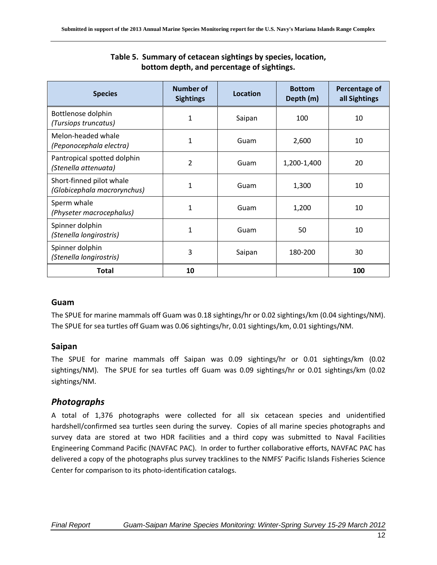<span id="page-15-0"></span>

| <b>Species</b>                                          | <b>Number of</b><br><b>Sightings</b> | Location | <b>Bottom</b><br>Depth (m) | Percentage of<br>all Sightings |  |
|---------------------------------------------------------|--------------------------------------|----------|----------------------------|--------------------------------|--|
| Bottlenose dolphin<br>(Tursiops truncatus)              | $\mathbf{1}$                         | Saipan   | 100                        | 10                             |  |
| Melon-headed whale<br>(Peponocephala electra)           | $\mathbf{1}$                         | Guam     | 2,600                      | 10                             |  |
| Pantropical spotted dolphin<br>(Stenella attenuata)     | $\overline{2}$                       | Guam     | 1,200-1,400                | 20                             |  |
| Short-finned pilot whale<br>(Globicephala macrorynchus) | $\mathbf{1}$                         | Guam     | 1,300                      | 10                             |  |
| Sperm whale<br>(Physeter macrocephalus)                 | $\mathbf{1}$                         | Guam     | 1,200                      | 10                             |  |
| Spinner dolphin<br>(Stenella longirostris)              | $\mathbf{1}$                         | Guam     | 50                         | 10                             |  |
| Spinner dolphin<br>(Stenella longirostris)              | 3                                    | Saipan   | 180-200                    | 30                             |  |
| Total                                                   | 10                                   |          |                            | 100                            |  |

#### **Table 5. Summary of cetacean sightings by species, location, bottom depth, and percentage of sightings.**

#### **Guam**

The SPUE for marine mammals off Guam was 0.18 sightings/hr or 0.02 sightings/km (0.04 sightings/NM). The SPUE for sea turtles off Guam was 0.06 sightings/hr, 0.01 sightings/km, 0.01 sightings/NM.

#### **Saipan**

The SPUE for marine mammals off Saipan was 0.09 sightings/hr or 0.01 sightings/km (0.02 sightings/NM). The SPUE for sea turtles off Guam was 0.09 sightings/hr or 0.01 sightings/km (0.02 sightings/NM.

### *Photographs*

A total of 1,376 photographs were collected for all six cetacean species and unidentified hardshell/confirmed sea turtles seen during the survey. Copies of all marine species photographs and survey data are stored at two HDR facilities and a third copy was submitted to Naval Facilities Engineering Command Pacific (NAVFAC PAC). In order to further collaborative efforts, NAVFAC PAC has delivered a copy of the photographs plus survey tracklines to the NMFS' Pacific Islands Fisheries Science Center for comparison to its photo-identification catalogs.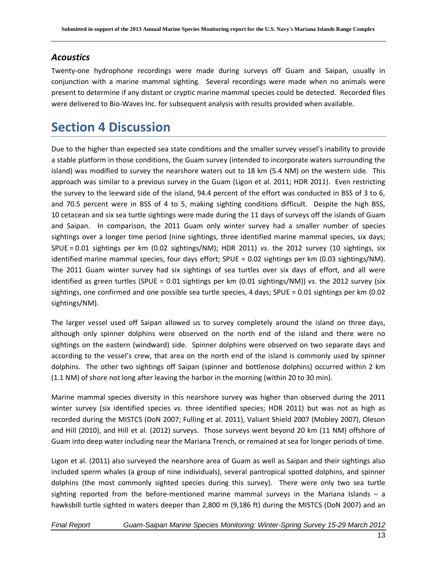#### *Acoustics*

Twenty-one hydrophone recordings were made during surveys off Guam and Saipan, usually in conjunction with a marine mammal sighting. Several recordings were made when no animals were present to determine if any distant or cryptic marine mammal species could be detected. Recorded files were delivered to Bio-Waves Inc. for subsequent analysis with results provided when available.

### <span id="page-16-0"></span>**Section 4 Discussion**

Due to the higher than expected sea state conditions and the smaller survey vessel's inability to provide a stable platform in those conditions, the Guam survey (intended to incorporate waters surrounding the island) was modified to survey the nearshore waters out to 18 km (5.4 NM) on the western side. This approach was similar to a previous survey in the Guam (Ligon et al. 2011; HDR 2011). Even restricting the survey to the leeward side of the island, 94.4 percent of the effort was conducted in BSS of 3 to 6, and 70.5 percent were in BSS of 4 to 5, making sighting conditions difficult. Despite the high BSS, 10 cetacean and six sea turtle sightings were made during the 11 days of surveys off the islands of Guam and Saipan. In comparison, the 2011 Guam only winter survey had a smaller number of species sightings over a longer time period (nine sightings, three identified marine mammal species, six days; SPUE = 0.01 sightings per km (0.02 sightings/NM); HDR 2011) *vs.* the 2012 survey (10 sightings, six identified marine mammal species, four days effort; SPUE = 0.02 sightings per km (0.03 sightings/NM). The 2011 Guam winter survey had six sightings of sea turtles over six days of effort, and all were identified as green turtles (SPUE = 0.01 sightings per km (0.01 sightings/NM)) *vs.* the 2012 survey (six sightings, one confirmed and one possible sea turtle species, 4 days; SPUE = 0.01 sightings per km (0.02 sightings/NM).

The larger vessel used off Saipan allowed us to survey completely around the island on three days, although only spinner dolphins were observed on the north end of the island and there were no sightings on the eastern (windward) side. Spinner dolphins were observed on two separate days and according to the vessel's crew, that area on the north end of the island is commonly used by spinner dolphins. The other two sightings off Saipan (spinner and bottlenose dolphins) occurred within 2 km (1.1 NM) of shore not long after leaving the harbor in the morning (within 20 to 30 min).

Marine mammal species diversity in this nearshore survey was higher than observed during the 2011 winter survey (six identified species *vs.* three identified species; HDR 2011) but was not as high as recorded during the MISTCS (DoN 2007; Fulling et al. 2011), Valiant Shield 2007 (Mobley 2007), Oleson and Hill (2010), and Hill et al. (2012) surveys. Those surveys went beyond 20 km (11 NM) offshore of Guam into deep water including near the Mariana Trench, or remained at sea for longer periods of time.

Ligon et al. (2011) also surveyed the nearshore area of Guam as well as Saipan and their sightings also included sperm whales (a group of nine individuals), several pantropical spotted dolphins, and spinner dolphins (the most commonly sighted species during this survey). There were only two sea turtle sighting reported from the before-mentioned marine mammal surveys in the Mariana Islands  $-$  a hawksbill turtle sighted in waters deeper than 2,800 m (9,186 ft) during the MISTCS (DoN 2007) and an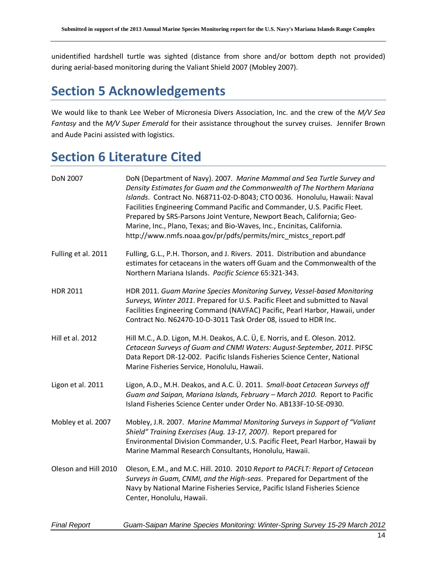unidentified hardshell turtle was sighted (distance from shore and/or bottom depth not provided) during aerial-based monitoring during the Valiant Shield 2007 (Mobley 2007).

### <span id="page-17-0"></span>**Section 5 Acknowledgements**

We would like to thank Lee Weber of Micronesia Divers Association, Inc. and the crew of the *M/V Sea Fantasy* and the *M/V Super Emerald* for their assistance throughout the survey cruises. Jennifer Brown and Aude Pacini assisted with logistics.

## <span id="page-17-1"></span>**Section 6 Literature Cited**

| <b>DoN 2007</b>      | DoN (Department of Navy). 2007. Marine Mammal and Sea Turtle Survey and<br>Density Estimates for Guam and the Commonwealth of The Northern Mariana<br>Islands. Contract No. N68711-02-D-8043; CTO 0036. Honolulu, Hawaii: Naval<br>Facilities Engineering Command Pacific and Commander, U.S. Pacific Fleet.<br>Prepared by SRS-Parsons Joint Venture, Newport Beach, California; Geo-<br>Marine, Inc., Plano, Texas; and Bio-Waves, Inc., Encinitas, California.<br>http://www.nmfs.noaa.gov/pr/pdfs/permits/mirc_mistcs_report.pdf |
|----------------------|--------------------------------------------------------------------------------------------------------------------------------------------------------------------------------------------------------------------------------------------------------------------------------------------------------------------------------------------------------------------------------------------------------------------------------------------------------------------------------------------------------------------------------------|
| Fulling et al. 2011  | Fulling, G.L., P.H. Thorson, and J. Rivers. 2011. Distribution and abundance<br>estimates for cetaceans in the waters off Guam and the Commonwealth of the<br>Northern Mariana Islands. Pacific Science 65:321-343.                                                                                                                                                                                                                                                                                                                  |
| <b>HDR 2011</b>      | HDR 2011. Guam Marine Species Monitoring Survey, Vessel-based Monitoring<br>Surveys, Winter 2011. Prepared for U.S. Pacific Fleet and submitted to Naval<br>Facilities Engineering Command (NAVFAC) Pacific, Pearl Harbor, Hawaii, under<br>Contract No. N62470-10-D-3011 Task Order 08, issued to HDR Inc.                                                                                                                                                                                                                          |
| Hill et al. 2012     | Hill M.C., A.D. Ligon, M.H. Deakos, A.C. Ü, E. Norris, and E. Oleson. 2012.<br>Cetacean Surveys of Guam and CNMI Waters: August-September, 2011. PIFSC<br>Data Report DR-12-002. Pacific Islands Fisheries Science Center, National<br>Marine Fisheries Service, Honolulu, Hawaii.                                                                                                                                                                                                                                                   |
| Ligon et al. 2011    | Ligon, A.D., M.H. Deakos, and A.C. U. 2011. Small-boat Cetacean Surveys off<br>Guam and Saipan, Mariana Islands, February - March 2010. Report to Pacific<br>Island Fisheries Science Center under Order No. AB133F-10-SE-0930.                                                                                                                                                                                                                                                                                                      |
| Mobley et al. 2007   | Mobley, J.R. 2007. Marine Mammal Monitoring Surveys in Support of "Valiant<br>Shield" Training Exercises (Aug. 13-17, 2007). Report prepared for<br>Environmental Division Commander, U.S. Pacific Fleet, Pearl Harbor, Hawaii by<br>Marine Mammal Research Consultants, Honolulu, Hawaii.                                                                                                                                                                                                                                           |
| Oleson and Hill 2010 | Oleson, E.M., and M.C. Hill. 2010. 2010 Report to PACFLT: Report of Cetacean<br>Surveys in Guam, CNMI, and the High-seas. Prepared for Department of the<br>Navy by National Marine Fisheries Service, Pacific Island Fisheries Science<br>Center, Honolulu, Hawaii.                                                                                                                                                                                                                                                                 |
| <b>Final Report</b>  | Guam-Saipan Marine Species Monitoring: Winter-Spring Survey 15-29 March 2012                                                                                                                                                                                                                                                                                                                                                                                                                                                         |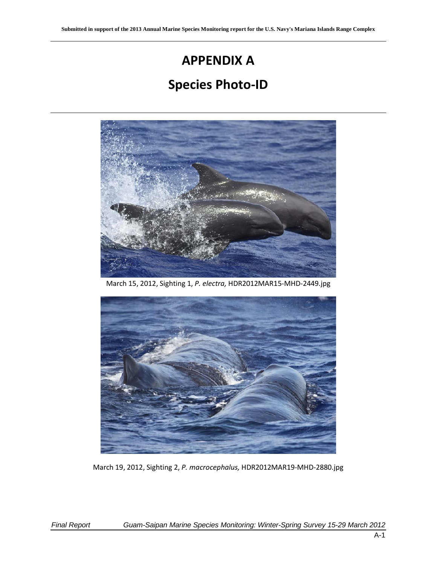# **APPENDIX A**

## **Species Photo-ID**



March 15, 2012, Sighting 1, *P. electra,* HDR2012MAR15-MHD-2449.jpg



March 19, 2012, Sighting 2, *P. macrocephalus,* HDR2012MAR19-MHD-2880.jpg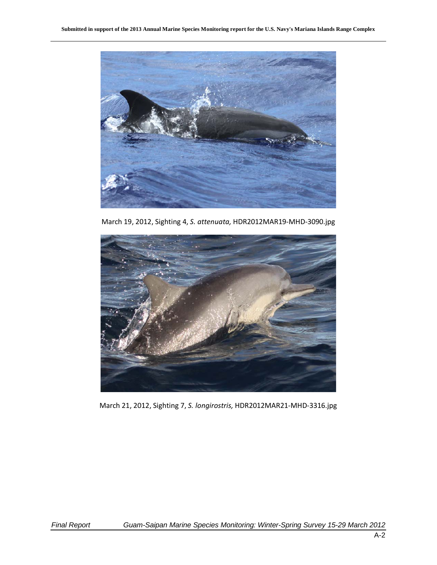

March 19, 2012, Sighting 4, *S. attenuata,* HDR2012MAR19-MHD-3090.jpg



March 21, 2012, Sighting 7, *S. longirostris,* HDR2012MAR21-MHD-3316.jpg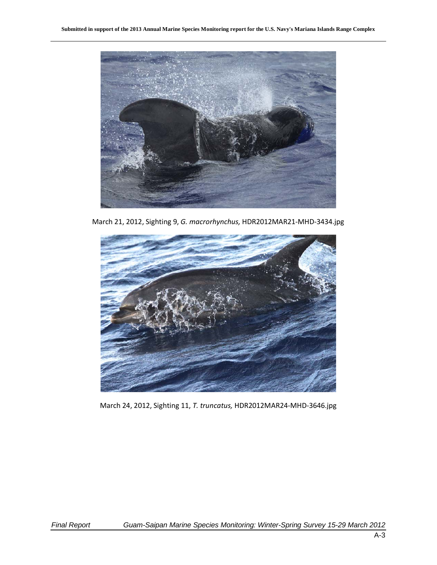

March 21, 2012, Sighting 9, *G. macrorhynchus,* HDR2012MAR21-MHD-3434.jpg



March 24, 2012, Sighting 11, *T. truncatus,* HDR2012MAR24-MHD-3646.jpg